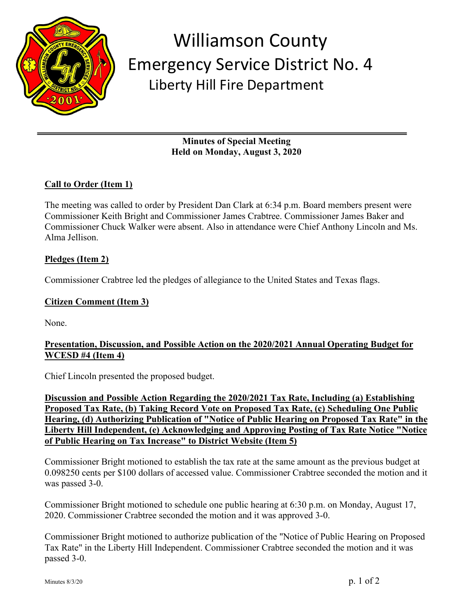

## Williamson County Emergency Service District No. 4 Liberty Hill Fire Department

**Minutes of Special Meeting Held on Monday, August 3, 2020**

## **Call to Order (Item 1)**

The meeting was called to order by President Dan Clark at 6:34 p.m. Board members present were Commissioner Keith Bright and Commissioner James Crabtree. Commissioner James Baker and Commissioner Chuck Walker were absent. Also in attendance were Chief Anthony Lincoln and Ms. Alma Jellison.

## **Pledges (Item 2)**

Commissioner Crabtree led the pledges of allegiance to the United States and Texas flags.

## **Citizen Comment (Item 3)**

None.

#### **Presentation, Discussion, and Possible Action on the 2020/2021 Annual Operating Budget for WCESD #4 (Item 4)**

Chief Lincoln presented the proposed budget.

**Discussion and Possible Action Regarding the 2020/2021 Tax Rate, Including (a) Establishing Proposed Tax Rate, (b) Taking Record Vote on Proposed Tax Rate, (c) Scheduling One Public Hearing, (d) Authorizing Publication of "Notice of Public Hearing on Proposed Tax Rate" in the Liberty Hill Independent, (e) Acknowledging and Approving Posting of Tax Rate Notice "Notice of Public Hearing on Tax Increase" to District Website (Item 5)**

Commissioner Bright motioned to establish the tax rate at the same amount as the previous budget at 0.098250 cents per \$100 dollars of accessed value. Commissioner Crabtree seconded the motion and it was passed 3-0.

Commissioner Bright motioned to schedule one public hearing at 6:30 p.m. on Monday, August 17, 2020. Commissioner Crabtree seconded the motion and it was approved 3-0.

Commissioner Bright motioned to authorize publication of the "Notice of Public Hearing on Proposed Tax Rate" in the Liberty Hill Independent. Commissioner Crabtree seconded the motion and it was passed 3-0.